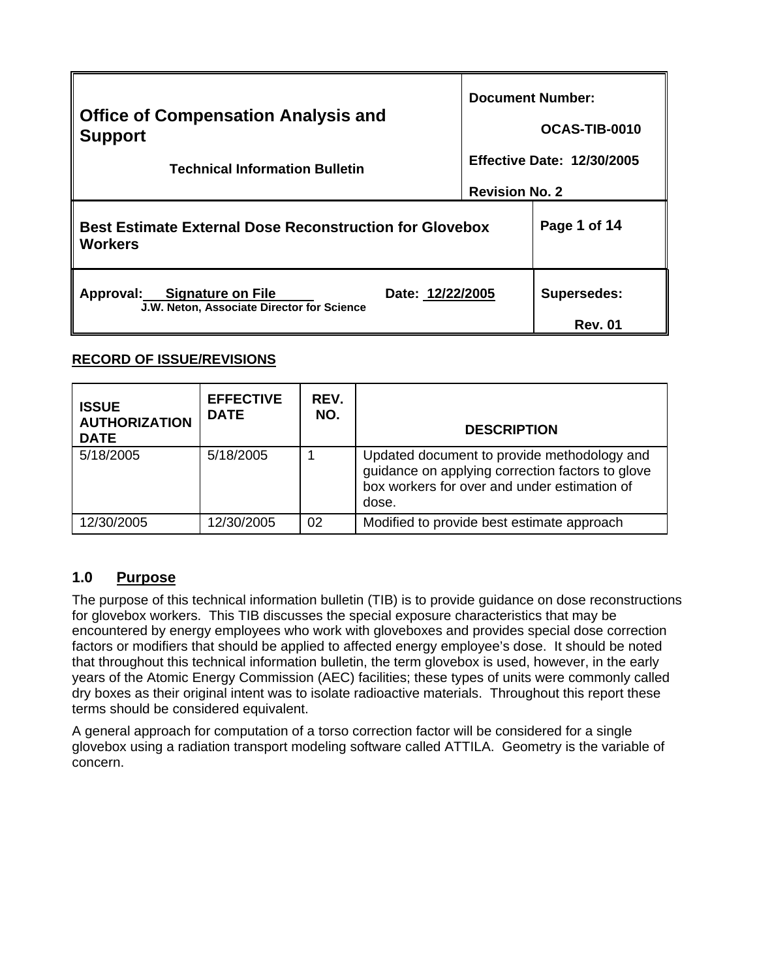|                                                                                                         | <b>Document Number:</b>           |                                      |
|---------------------------------------------------------------------------------------------------------|-----------------------------------|--------------------------------------|
| <b>Office of Compensation Analysis and</b><br><b>Support</b>                                            |                                   | OCAS-TIB-0010                        |
| <b>Technical Information Bulletin</b>                                                                   | <b>Effective Date: 12/30/2005</b> |                                      |
|                                                                                                         | <b>Revision No. 2</b>             |                                      |
| <b>Best Estimate External Dose Reconstruction for Glovebox</b><br><b>Workers</b>                        |                                   | Page 1 of 14                         |
| <b>Signature on File</b><br>Date: 12/22/2005<br>Approval:<br>J.W. Neton, Associate Director for Science |                                   | <b>Supersedes:</b><br><b>Rev. 01</b> |

# **RECORD OF ISSUE/REVISIONS**

| <b>ISSUE</b><br><b>AUTHORIZATION</b><br><b>DATE</b> | <b>EFFECTIVE</b><br><b>DATE</b> | REV.<br>NO. | <b>DESCRIPTION</b>                                                                                                                                       |
|-----------------------------------------------------|---------------------------------|-------------|----------------------------------------------------------------------------------------------------------------------------------------------------------|
| 5/18/2005                                           | 5/18/2005                       |             | Updated document to provide methodology and<br>guidance on applying correction factors to glove<br>box workers for over and under estimation of<br>dose. |
| 12/30/2005                                          | 12/30/2005                      | 02          | Modified to provide best estimate approach                                                                                                               |

# **1.0 Purpose**

The purpose of this technical information bulletin (TIB) is to provide guidance on dose reconstructions for glovebox workers. This TIB discusses the special exposure characteristics that may be encountered by energy employees who work with gloveboxes and provides special dose correction factors or modifiers that should be applied to affected energy employee's dose. It should be noted that throughout this technical information bulletin, the term glovebox is used, however, in the early years of the Atomic Energy Commission (AEC) facilities; these types of units were commonly called dry boxes as their original intent was to isolate radioactive materials. Throughout this report these terms should be considered equivalent.

A general approach for computation of a torso correction factor will be considered for a single glovebox using a radiation transport modeling software called ATTILA. Geometry is the variable of concern.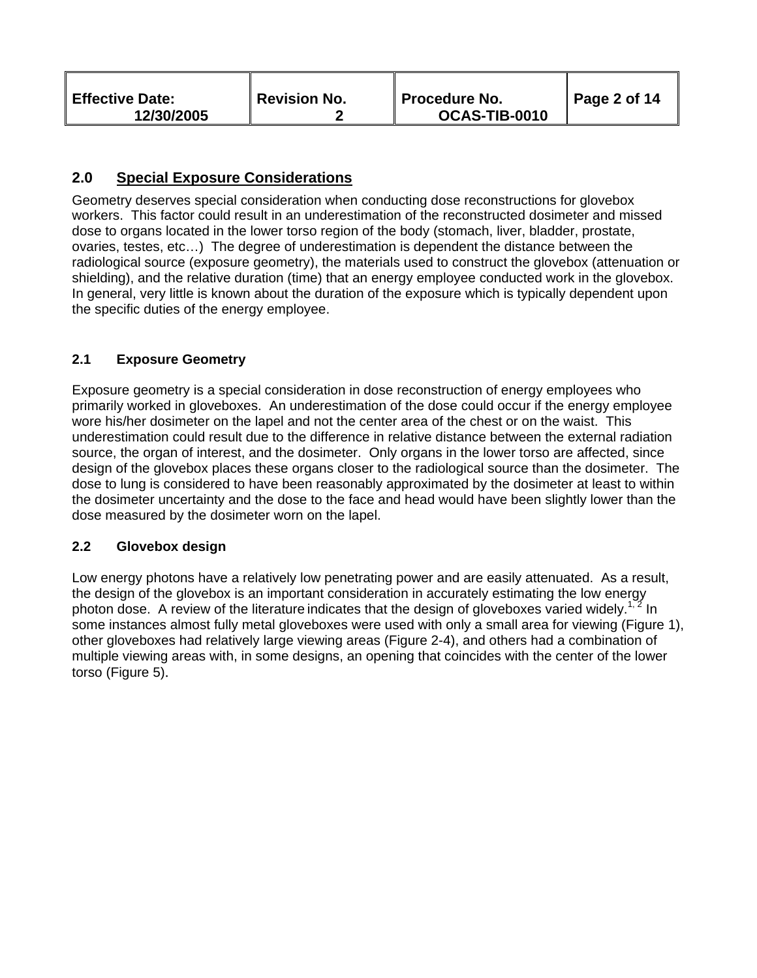|  | <b>Effective Date:</b><br>12/30/2005 | Revision No. | ∥ Procedure No.<br>OCAS-TIB-0010 | Page 2 of 14 |
|--|--------------------------------------|--------------|----------------------------------|--------------|
|--|--------------------------------------|--------------|----------------------------------|--------------|

# **2.0 Special Exposure Considerations**

Geometry deserves special consideration when conducting dose reconstructions for glovebox workers. This factor could result in an underestimation of the reconstructed dosimeter and missed dose to organs located in the lower torso region of the body (stomach, liver, bladder, prostate, ovaries, testes, etc…) The degree of underestimation is dependent the distance between the radiological source (exposure geometry), the materials used to construct the glovebox (attenuation or shielding), and the relative duration (time) that an energy employee conducted work in the glovebox. In general, very little is known about the duration of the exposure which is typically dependent upon the specific duties of the energy employee.

## **2.1 Exposure Geometry**

Exposure geometry is a special consideration in dose reconstruction of energy employees who primarily worked in gloveboxes. An underestimation of the dose could occur if the energy employee wore his/her dosimeter on the lapel and not the center area of the chest or on the waist. This underestimation could result due to the difference in relative distance between the external radiation source, the organ of interest, and the dosimeter. Only organs in the lower torso are affected, since design of the glovebox places these organs closer to the radiological source than the dosimeter. The dose to lung is considered to have been reasonably approximated by the dosimeter at least to within the dosimeter uncertainty and the dose to the face and head would have been slightly lower than the dose measured by the dosimeter worn on the lapel.

## **2.2 Glovebox design**

Low energy photons have a relatively low penetrating power and are easily attenuated. As a result, the design of the glovebox is an important consideration in accurately estimating the low energy photon dose. A review of the literature indicates that the design of gloveboxes varied widely.<sup>1, 2</sup> In some instances almost fully metal gloveboxes were used with only a small area for viewing (Figure 1), other gloveboxes had relatively large viewing areas (Figure 2-4), and others had a combination of multiple viewing areas with, in some designs, an opening that coincides with the center of the lower torso (Figure 5).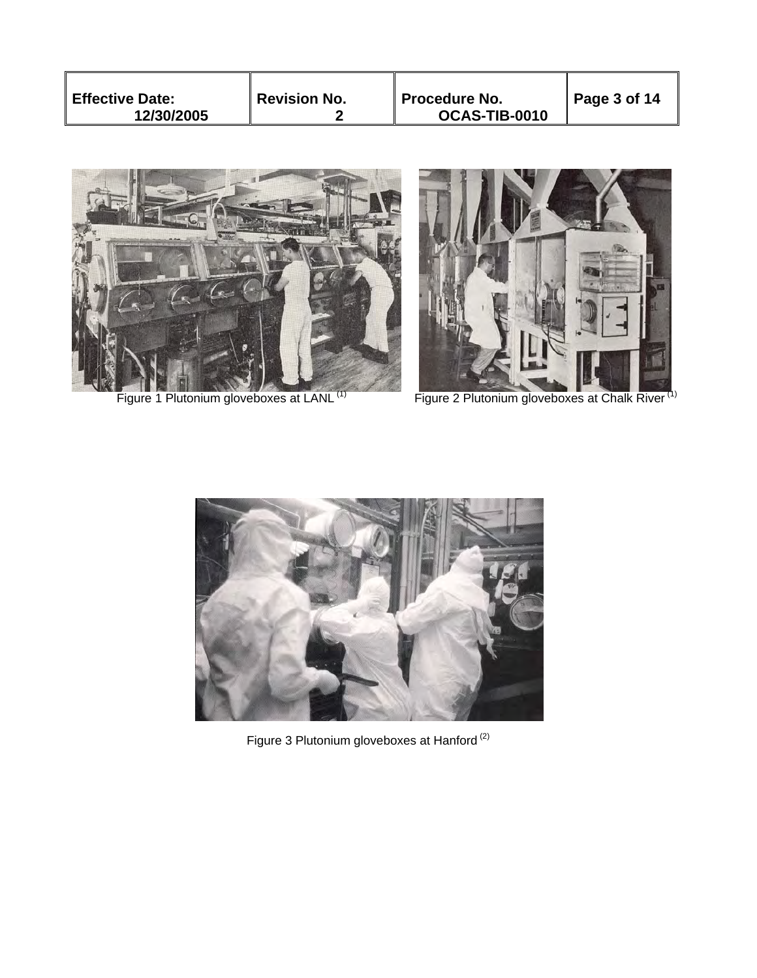| <b>Effective Date:</b><br><b>Revision No.</b><br>Procedure No.<br>12/30/2005<br>OCAS-TIB-0010 | $\vert$ Page 3 of 14 |
|-----------------------------------------------------------------------------------------------|----------------------|
|-----------------------------------------------------------------------------------------------|----------------------|





Figure 1 Plutonium gloveboxes at LANL<sup>(1)</sup> Figure 2 Plutonium gloveboxes at Chalk River<sup>(1)</sup>



ļ.

Figure 3 Plutonium gloveboxes at Hanford  $^{(2)}$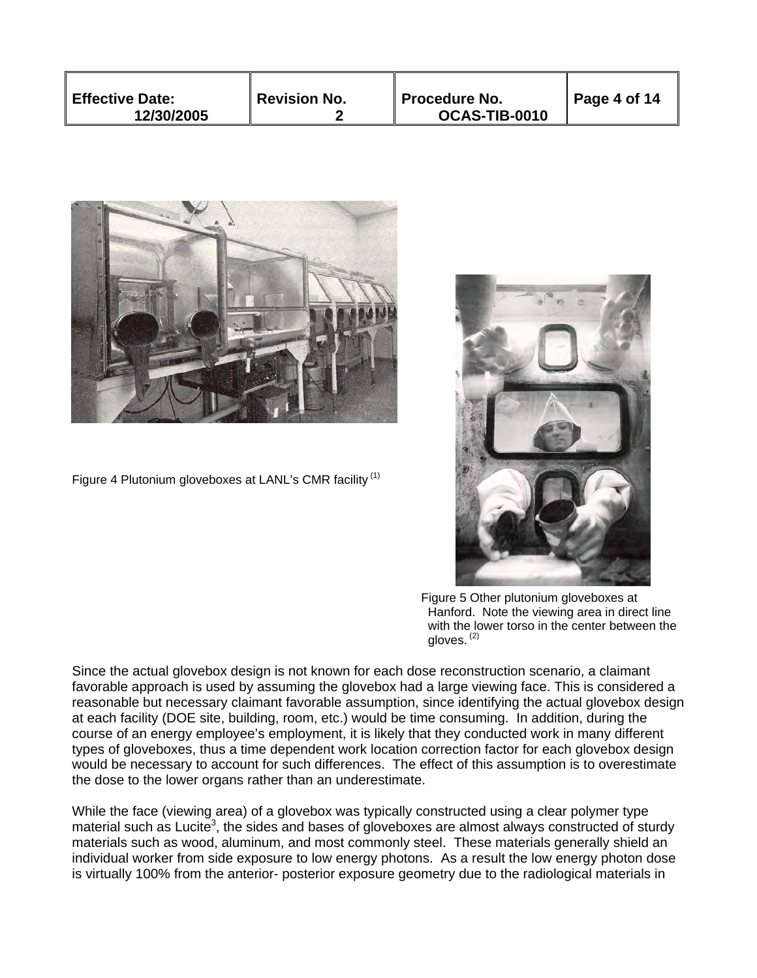| $\,$ Revision No.<br><b>Effective Date:</b><br>∥ Procedure No.<br>OCAS-TIB-0010<br>12/30/2005 |  | $\vert$ Page 4 of 14 |  |  |
|-----------------------------------------------------------------------------------------------|--|----------------------|--|--|
|-----------------------------------------------------------------------------------------------|--|----------------------|--|--|



Figure 4 Plutonium gloveboxes at LANL's CMR facility  $(1)$ 



 Figure 5 Other plutonium gloveboxes at Hanford. Note the viewing area in direct line with the lower torso in the center between the gloves.  $(2)$ 

Since the actual glovebox design is not known for each dose reconstruction scenario, a claimant favorable approach is used by assuming the glovebox had a large viewing face. This is considered a reasonable but necessary claimant favorable assumption, since identifying the actual glovebox design at each facility (DOE site, building, room, etc.) would be time consuming. In addition, during the course of an energy employee's employment, it is likely that they conducted work in many different types of gloveboxes, thus a time dependent work location correction factor for each glovebox design would be necessary to account for such differences. The effect of this assumption is to overestimate the dose to the lower organs rather than an underestimate.

While the face (viewing area) of a glovebox was typically constructed using a clear polymer type material such as Lucite<sup>3</sup>, the sides and bases of gloveboxes are almost always constructed of sturdy materials such as wood, aluminum, and most commonly steel. These materials generally shield an individual worker from side exposure to low energy photons. As a result the low energy photon dose is virtually 100% from the anterior- posterior exposure geometry due to the radiological materials in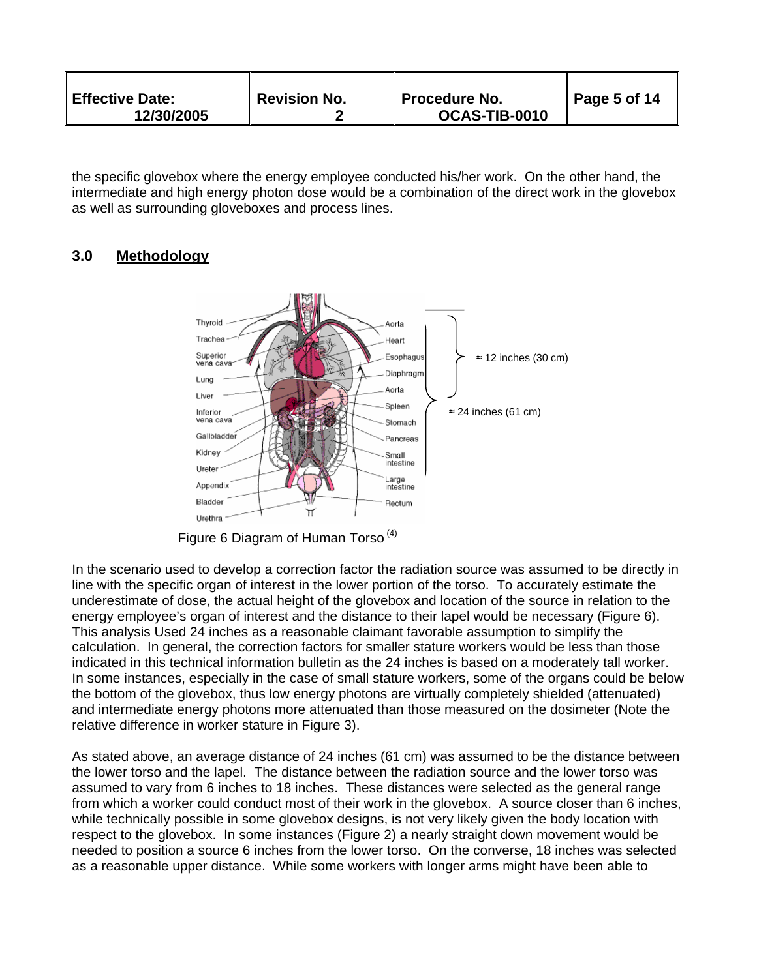| <b>Effective Date:</b><br>12/30/2005 | <b>Revision No.</b> | <b>Procedure No.</b><br>OCAS-TIB-0010 | $\vert$ Page 5 of 14 |
|--------------------------------------|---------------------|---------------------------------------|----------------------|
|--------------------------------------|---------------------|---------------------------------------|----------------------|

the specific glovebox where the energy employee conducted his/her work. On the other hand, the intermediate and high energy photon dose would be a combination of the direct work in the glovebox as well as surrounding gloveboxes and process lines.

# **3.0 Methodology**



Figure 6 Diagram of Human Torso (4)

In the scenario used to develop a correction factor the radiation source was assumed to be directly in line with the specific organ of interest in the lower portion of the torso. To accurately estimate the underestimate of dose, the actual height of the glovebox and location of the source in relation to the energy employee's organ of interest and the distance to their lapel would be necessary (Figure 6). This analysis Used 24 inches as a reasonable claimant favorable assumption to simplify the calculation. In general, the correction factors for smaller stature workers would be less than those indicated in this technical information bulletin as the 24 inches is based on a moderately tall worker. In some instances, especially in the case of small stature workers, some of the organs could be below the bottom of the glovebox, thus low energy photons are virtually completely shielded (attenuated) and intermediate energy photons more attenuated than those measured on the dosimeter (Note the relative difference in worker stature in Figure 3).

As stated above, an average distance of 24 inches (61 cm) was assumed to be the distance between the lower torso and the lapel. The distance between the radiation source and the lower torso was assumed to vary from 6 inches to 18 inches. These distances were selected as the general range from which a worker could conduct most of their work in the glovebox. A source closer than 6 inches, while technically possible in some glovebox designs, is not very likely given the body location with respect to the glovebox. In some instances (Figure 2) a nearly straight down movement would be needed to position a source 6 inches from the lower torso. On the converse, 18 inches was selected as a reasonable upper distance. While some workers with longer arms might have been able to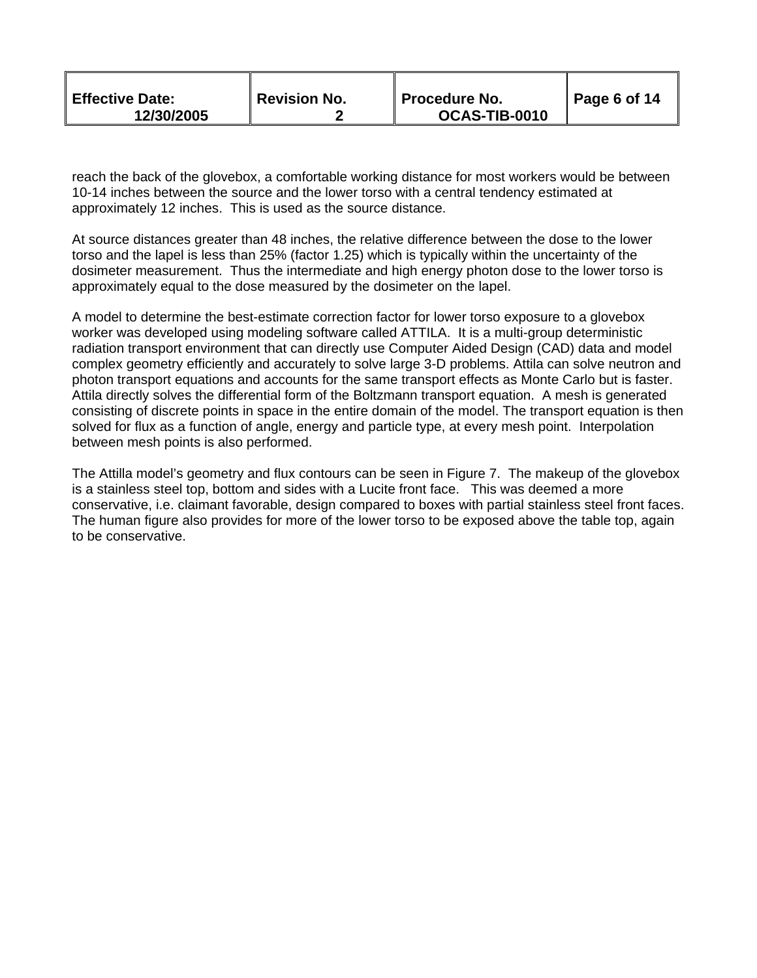| <b>Effective Date:</b><br>12/30/2005 | <b>Revision No.</b> | ∥ Procedure No.<br>OCAS-TIB-0010 | $\vert$ Page 6 of 14 |
|--------------------------------------|---------------------|----------------------------------|----------------------|
|--------------------------------------|---------------------|----------------------------------|----------------------|

reach the back of the glovebox, a comfortable working distance for most workers would be between 10-14 inches between the source and the lower torso with a central tendency estimated at approximately 12 inches. This is used as the source distance.

approximately equal to the dose measured by the dosimeter on the lapel. At source distances greater than 48 inches, the relative difference between the dose to the lower torso and the lapel is less than 25% (factor 1.25) which is typically within the uncertainty of the dosimeter measurement. Thus the intermediate and high energy photon dose to the lower torso is

A model to determine the best-estimate correction factor for lower torso exposure to a glovebox worker was developed using modeling software called ATTILA. It is a multi-group deterministic radiation transport environment that can directly use Computer Aided Design (CAD) data and model complex geometry efficiently and accurately to solve large 3-D problems. Attila can solve neutron and photon transport equations and accounts for the same transport effects as Monte Carlo but is faster. Attila directly solves the differential form of the Boltzmann transport equation. A mesh is generated consisting of discrete points in space in the entire domain of the model. The transport equation is then solved for flux as a function of angle, energy and particle type, at every mesh point. Interpolation between mesh points is also performed.

The Attilla model's geometry and flux contours can be seen in Figure 7. The makeup of the glovebox is a stainless steel top, bottom and sides with a Lucite front face. This was deemed a more conservative, i.e. claimant favorable, design compared to boxes with partial stainless steel front faces. The human figure also provides for more of the lower torso to be exposed above the table top, again to be conservative.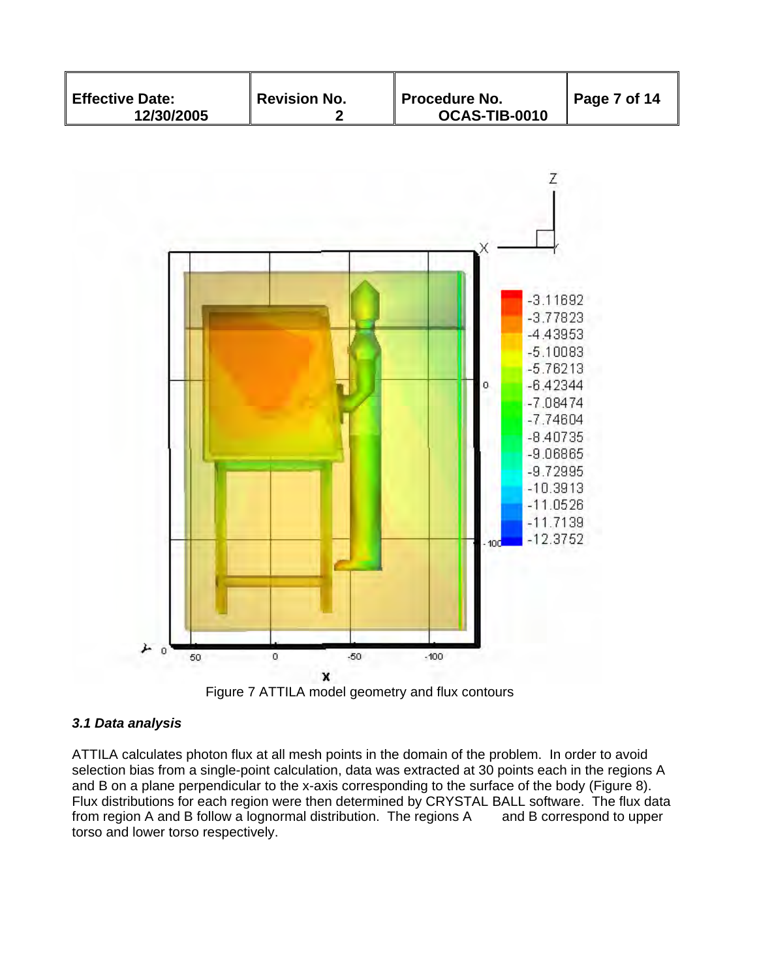



## *3.1 Data analysis*

ATTILA calculates photon flux at all mesh points in the domain of the problem. In order to avoid selection bias from a single-point calculation, data was extracted at 30 points each in the regions A and B on a plane perpendicular to the x-axis corresponding to the surface of the body (Figure 8). Flux distributions for each region were then determined by CRYSTAL BALL software. The flux data from region A and B follow a lognormal distribution. The regions A and B correspond to upper torso and lower torso respectively.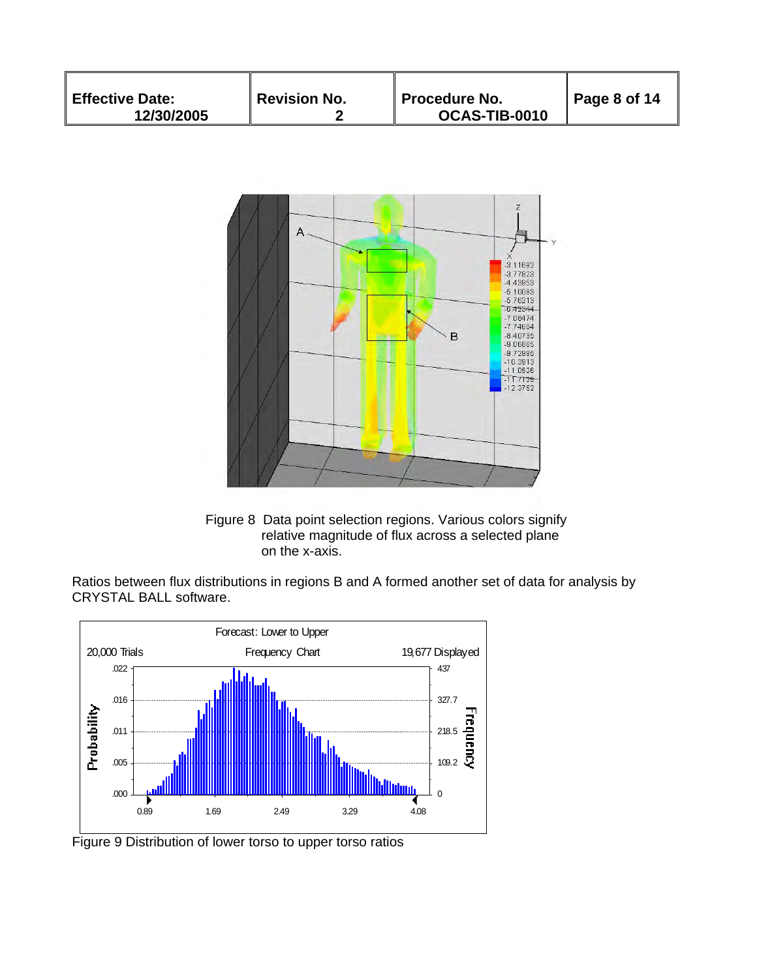| <b>Effective Date:</b><br>12/30/2005 | Revision No. | Procedure No.<br>OCAS-TIB-0010 | Page 8 of 14 |
|--------------------------------------|--------------|--------------------------------|--------------|
|--------------------------------------|--------------|--------------------------------|--------------|



Figure 8 Data point selection regions. Various colors signify relative magnitude of flux across a selected plane on the x-axis.

Ratios between flux distributions in regions B and A formed another set of data for analysis by CRYSTAL BALL software.



Figure 9 Distribution of lower torso to upper torso ratios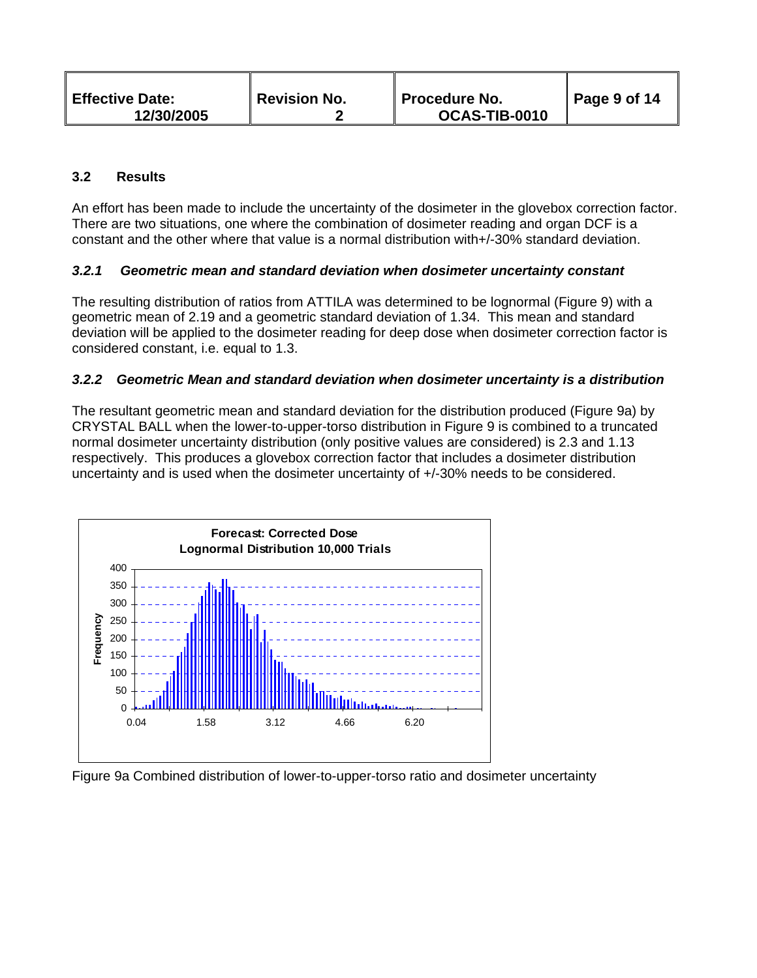| <b>Effective Date:</b><br>12/30/2005 | <b>Revision No.</b> | ∥ Procedure No.<br>OCAS-TIB-0010 | $\vert$ Page 9 of 14 |
|--------------------------------------|---------------------|----------------------------------|----------------------|
|--------------------------------------|---------------------|----------------------------------|----------------------|

## **3.2 Results**

An effort has been made to include the uncertainty of the dosimeter in the glovebox correction factor. There are two situations, one where the combination of dosimeter reading and organ DCF is a constant and the other where that value is a normal distribution with+/-30% standard deviation.

#### *3.2.1 Geometric mean and standard deviation when dosimeter uncertainty constant*

The resulting distribution of ratios from ATTILA was determined to be lognormal (Figure 9) with a geometric mean of 2.19 and a geometric standard deviation of 1.34. This mean and standard deviation will be applied to the dosimeter reading for deep dose when dosimeter correction factor is considered constant, i.e. equal to 1.3.

#### *3.2.2 Geometric Mean and standard deviation when dosimeter uncertainty is a distribution*

The resultant geometric mean and standard deviation for the distribution produced (Figure 9a) by CRYSTAL BALL when the lower-to-upper-torso distribution in Figure 9 is combined to a truncated normal dosimeter uncertainty distribution (only positive values are considered) is 2.3 and 1.13 respectively. This produces a glovebox correction factor that includes a dosimeter distribution uncertainty and is used when the dosimeter uncertainty of +/-30% needs to be considered.



Figure 9a Combined distribution of lower-to-upper-torso ratio and dosimeter uncertainty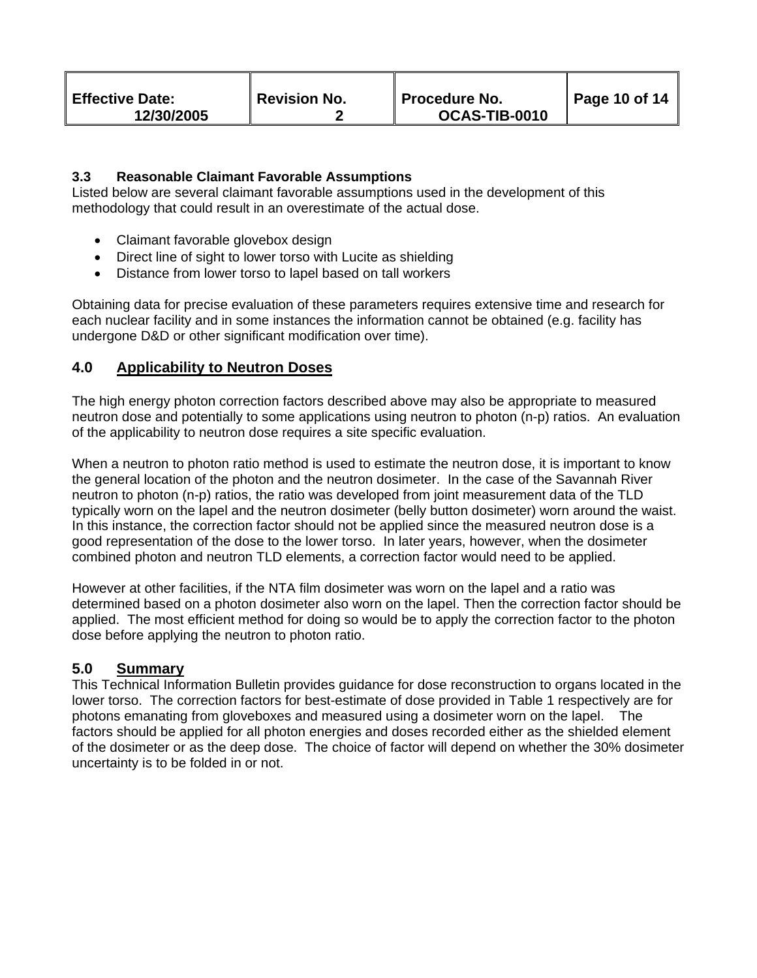| <b>Effective Date:</b><br>12/30/2005 | <b>Revision No.</b> | ∥ Procedure No.<br>OCAS-TIB-0010 | Page 10 of 14 |
|--------------------------------------|---------------------|----------------------------------|---------------|
|--------------------------------------|---------------------|----------------------------------|---------------|

## **3.3 Reasonable Claimant Favorable Assumptions**

Listed below are several claimant favorable assumptions used in the development of this methodology that could result in an overestimate of the actual dose.

- Claimant favorable glovebox design
- Direct line of sight to lower torso with Lucite as shielding
- Distance from lower torso to lapel based on tall workers

Obtaining data for precise evaluation of these parameters requires extensive time and research for each nuclear facility and in some instances the information cannot be obtained (e.g. facility has undergone D&D or other significant modification over time).

# **4.0 Applicability to Neutron Doses**

The high energy photon correction factors described above may also be appropriate to measured neutron dose and potentially to some applications using neutron to photon (n-p) ratios. An evaluation of the applicability to neutron dose requires a site specific evaluation.

When a neutron to photon ratio method is used to estimate the neutron dose, it is important to know the general location of the photon and the neutron dosimeter. In the case of the Savannah River neutron to photon (n-p) ratios, the ratio was developed from joint measurement data of the TLD typically worn on the lapel and the neutron dosimeter (belly button dosimeter) worn around the waist. In this instance, the correction factor should not be applied since the measured neutron dose is a good representation of the dose to the lower torso. In later years, however, when the dosimeter combined photon and neutron TLD elements, a correction factor would need to be applied.

 dose before applying the neutron to photon ratio. However at other facilities, if the NTA film dosimeter was worn on the lapel and a ratio was determined based on a photon dosimeter also worn on the lapel. Then the correction factor should be applied. The most efficient method for doing so would be to apply the correction factor to the photon

# **5.0 Summary**

 photons emanating from gloveboxes and measured using a dosimeter worn on the lapel. The This Technical Information Bulletin provides guidance for dose reconstruction to organs located in the lower torso. The correction factors for best-estimate of dose provided in Table 1 respectively are for factors should be applied for all photon energies and doses recorded either as the shielded element of the dosimeter or as the deep dose. The choice of factor will depend on whether the 30% dosimeter uncertainty is to be folded in or not.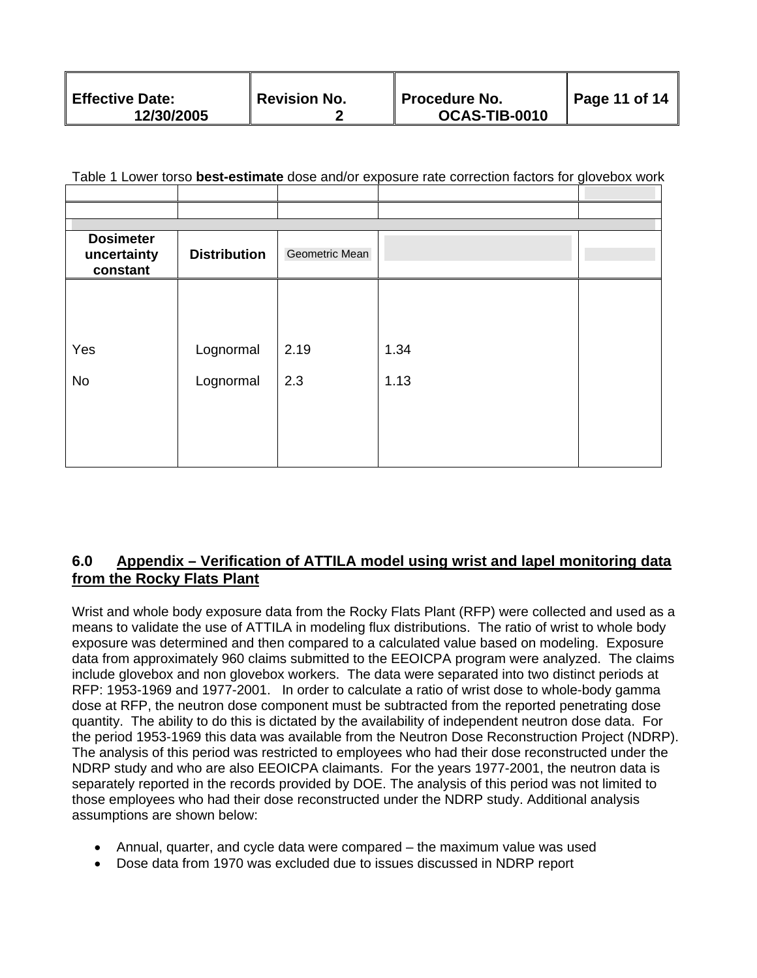| <b>Effective Date:</b><br>12/30/2005 | Revision No. | <b>Procedure No.</b><br>OCAS-TIB-0010 | $\parallel$ Page 11 of 14 |
|--------------------------------------|--------------|---------------------------------------|---------------------------|
|--------------------------------------|--------------|---------------------------------------|---------------------------|

|  |  | Table 1 Lower torso <b>best-estimate</b> dose and/or exposure rate correction factors for glovebox work |  |
|--|--|---------------------------------------------------------------------------------------------------------|--|
|  |  |                                                                                                         |  |

| <b>Dosimeter</b><br>uncertainty<br>constant | <b>Distribution</b> | Geometric Mean |      |  |
|---------------------------------------------|---------------------|----------------|------|--|
|                                             |                     |                |      |  |
|                                             |                     |                |      |  |
|                                             |                     |                |      |  |
|                                             |                     |                |      |  |
| Yes                                         | Lognormal           | 2.19           | 1.34 |  |
|                                             |                     |                |      |  |
| No                                          | Lognormal           | 2.3            | 1.13 |  |
|                                             |                     |                |      |  |
|                                             |                     |                |      |  |
|                                             |                     |                |      |  |
|                                             |                     |                |      |  |
|                                             |                     |                |      |  |

# **6.0 Appendix – Verification of ATTILA model using wrist and lapel monitoring data from the Rocky Flats Plant**

Wrist and whole body exposure data from the Rocky Flats Plant (RFP) were collected and used as a means to validate the use of ATTILA in modeling flux distributions. The ratio of wrist to whole body exposure was determined and then compared to a calculated value based on modeling. Exposure data from approximately 960 claims submitted to the EEOICPA program were analyzed. The claims include glovebox and non glovebox workers. The data were separated into two distinct periods at RFP: 1953-1969 and 1977-2001. In order to calculate a ratio of wrist dose to whole-body gamma dose at RFP, the neutron dose component must be subtracted from the reported penetrating dose quantity. The ability to do this is dictated by the availability of independent neutron dose data. For the period 1953-1969 this data was available from the Neutron Dose Reconstruction Project (NDRP). The analysis of this period was restricted to employees who had their dose reconstructed under the NDRP study and who are also EEOICPA claimants. For the years 1977-2001, the neutron data is separately reported in the records provided by DOE. The analysis of this period was not limited to those employees who had their dose reconstructed under the NDRP study. Additional analysis assumptions are shown below:

- Annual, quarter, and cycle data were compared the maximum value was used
- Dose data from 1970 was excluded due to issues discussed in NDRP report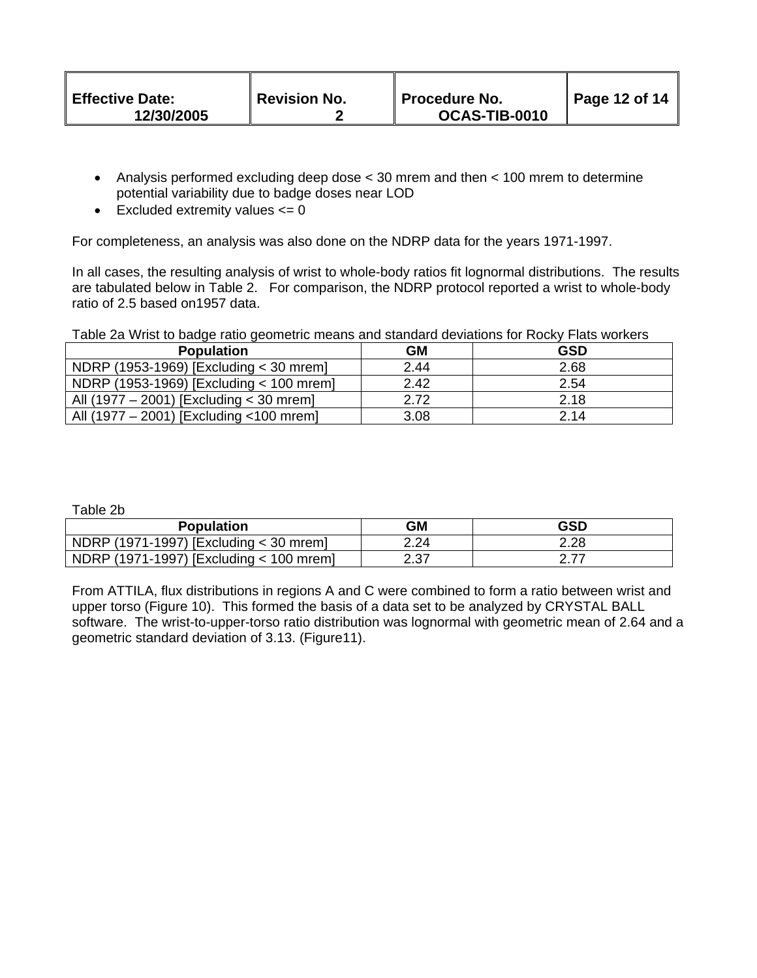| <b>Effective Date:</b><br>12/30/2005 | <b>Revision No.</b> | <b>Procedure No.</b><br>OCAS-TIB-0010 | Page 12 of 14 |
|--------------------------------------|---------------------|---------------------------------------|---------------|
|--------------------------------------|---------------------|---------------------------------------|---------------|

- Analysis performed excluding deep dose < 30 mrem and then < 100 mrem to determine potential variability due to badge doses near LOD
- Excluded extremity values  $\leq 0$

For completeness, an analysis was also done on the NDRP data for the years 1971-1997.

In all cases, the resulting analysis of wrist to whole-body ratios fit lognormal distributions. The results are tabulated below in Table 2. For comparison, the NDRP protocol reported a wrist to whole-body ratio of 2.5 based on1957 data.

Table 2a Wrist to badge ratio geometric means and standard deviations for Rocky Flats workers

| <b>Population</b>                        | <b>GM</b> | <b>GSD</b> |
|------------------------------------------|-----------|------------|
| NDRP (1953-1969) [Excluding < 30 mrem]   | 2.44      | 2.68       |
| NDRP (1953-1969) [Excluding < 100 mrem]  | 2.42      | 2.54       |
| All (1977 – 2001) [Excluding < 30 mrem]  | 2.72      | 2.18       |
| All (1977 – 2001) [Excluding < 100 mrem] | 3.08      | 2.14       |

Table 2b

| <b>Population</b>                       | GM   | GSD  |
|-----------------------------------------|------|------|
| NDRP (1971-1997) [Excluding < 30 mrem]  | 2.24 | 2.28 |
| NDRP (1971-1997) [Excluding < 100 mrem] | דד ר |      |

From ATTILA, flux distributions in regions A and C were combined to form a ratio between wrist and upper torso (Figure 10). This formed the basis of a data set to be analyzed by CRYSTAL BALL software. The wrist-to-upper-torso ratio distribution was lognormal with geometric mean of 2.64 and a geometric standard deviation of 3.13. (Figure11).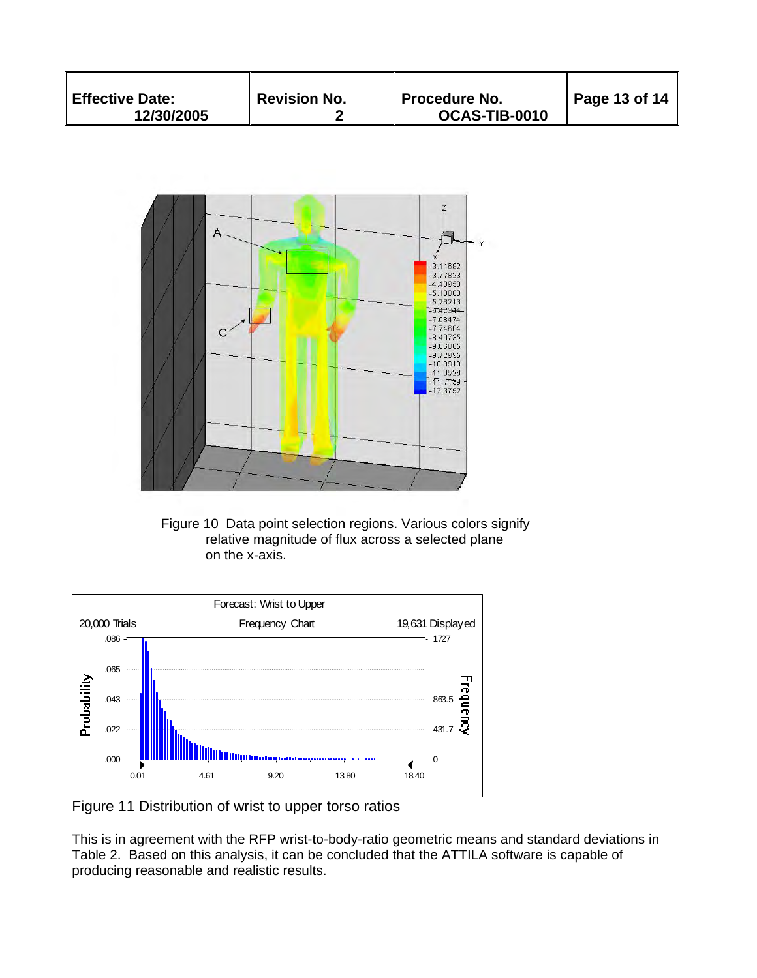| <b>Effective Date:</b><br>12/30/2005 | Revision No. | ∥ Procedure No.<br>OCAS-TIB-0010 | $\blacksquare$ Page 13 of 14 |
|--------------------------------------|--------------|----------------------------------|------------------------------|
|--------------------------------------|--------------|----------------------------------|------------------------------|



Figure 10 Data point selection regions. Various colors signify relative magnitude of flux across a selected plane on the x-axis.



Figure 11 Distribution of wrist to upper torso ratios

This is in agreement with the RFP wrist-to-body-ratio geometric means and standard deviations in Table 2. Based on this analysis, it can be concluded that the ATTILA software is capable of producing reasonable and realistic results.